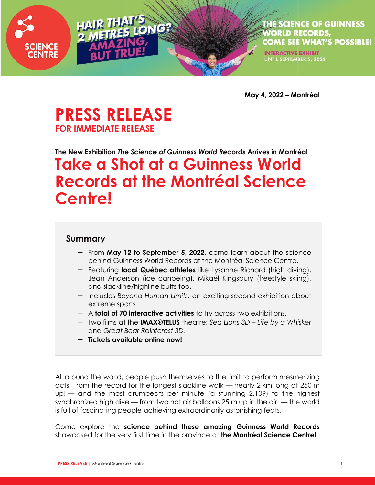

THE SCIENCE OF GUINNESS **WORLD RECORDS, COME SEE WHAT'S POSSIBLE!** 

**INTERACTIVE EXHIBIT** UNTIL SEPTEMBER 5, 2022

**May 4, 2022 – Montréal**

# **PRESS RELEASE FOR IMMEDIATE RELEASE**

# **The New Exhibition** *The Science of Guinness World Records* **Arrives in Montréal Take a Shot at a Guinness World Records at the Montréal Science Centre!**

ONG?

#### **Summary**

- From **May 12 to September 5, 2022,** come learn about the science behind Guinness World Records at the Montréal Science Centre.
- Featuring **local Québec athletes** like Lysanne Richard (high diving), Jean Anderson (ice canoeing), Mikaël Kingsbury (freestyle skiing), and slackline/highline buffs too.
- Includes *Beyond Human Limits,* an exciting second exhibition about extreme sports*.*
- A **total of 70 interactive activities** to try across two exhibitions.
- Two films at the **IMAX®TELUS** theatre: *Sea Lions 3D – Life by a Whisker* and *Great Bear Rainforest 3D*.
- **Tickets available online now!**

All around the world, people push themselves to the limit to perform mesmerizing acts. From the record for the longest slackline walk — nearly 2 km long at 250 m up! — and the most drumbeats per minute (a stunning 2,109) to the highest synchronized high dive — from two hot air balloons 25 m up in the air! — the world is full of fascinating people achieving extraordinarily astonishing feats.

Come explore the **science behind these amazing Guinness World Records** showcased for the very first time in the province at **the Montréal Science Centre!**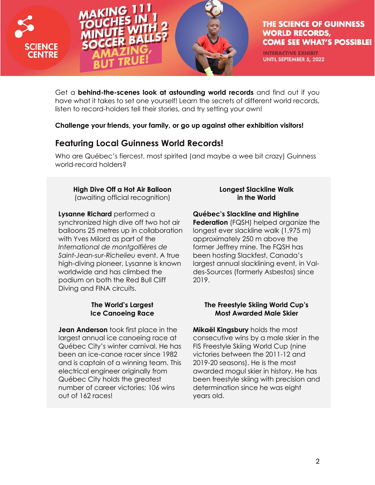



**INTERACTIVE EXHIBIT** UNTIL SEPTEMBER 5, 2022

Get a **behind-the-scenes look at astounding world records** and find out if you have what it takes to set one yourself! Learn the secrets of different world records, listen to record-holders tell their stories, and try setting your own!

**Challenge your friends, your family, or go up against other exhibition visitors!**

## **Featuring Local Guinness World Records!**

Who are Québec's fiercest, most spirited (and maybe a wee bit crazy) Guinness world-record holders?

# **High Dive Off a Hot Air Balloon**

(awaiting official recognition)

**Lysanne Richard** performed a synchronized high dive off two hot air balloons 25 metres up in collaboration with Yves Milord as part of the *International de montgolfières de Saint-Jean-sur-Richelieu* event. A true high-diving pioneer, Lysanne is known worldwide and has climbed the podium on both the Red Bull Cliff Diving and FINA circuits.

### **The World's Largest Ice Canoeing Race**

**Jean Anderson** took first place in the largest annual ice canoeing race at Québec City's winter carnival. He has been an ice-canoe racer since 1982 and is captain of a winning team. This electrical engineer originally from Québec City holds the greatest number of career victories; 106 wins out of 162 races!

#### **Longest Slackline Walk in the World**

#### **Québec's Slackline and Highline**

**Federation** (FQSH) helped organize the longest ever slackline walk (1,975 m) approximately 250 m above the former Jeffrey mine. The FQSH has been hosting Slackfest, Canada's largest annual slacklining event, in Valdes-Sources (formerly Asbestos) since 2019.

### **The Freestyle Skiing World Cup's Most Awarded Male Skier**

**Mikaël Kingsbury** holds the most consecutive wins by a male skier in the FIS Freestyle Skiing World Cup (nine victories between the 2011-12 and 2019-20 seasons). He is the most awarded mogul skier in history. He has been freestyle skiing with precision and determination since he was eight years old.